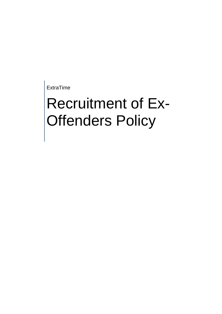ExtraTime

## Recruitment of Ex-Offenders Policy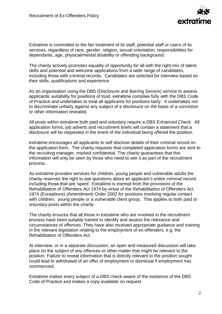

Extratime is committed to the fair treatment of its staff, potential staff or users of its services, regardless of race, gender, religion, sexual orientation, responsibilities for dependants, age, physical/mental disability or offending background.

The charity actively promotes equality of opportunity for all with the right mix of talent, skills and potential and welcome applications from a wide range of candidates, including those with criminal records. Candidates are selected for interview based on their skills, qualifications and experience.

As an organisation using the DBS (Disclosure and Barring Service) service to assess applicants' suitability for positions of trust, extratime complies fully with the DBS Code of Practice and undertakes to treat all applicants for positions fairly. It undertakes not to discriminate unfairly against any subject of a disclosure on the basis of a conviction or other information revealed.

All posts within extratime both paid and voluntary require a DBS Enhanced Check. All application forms, job adverts and recruitment briefs will contain a statement that a disclosure will be requested in the event of the individual being offered the position.

extratime encourages all applicants to self disclose details of their criminal record on the application form. The charity requests that completed application forms are sent to the recruiting manager, marked confidential. The charity guarantees that this information will only be seen by those who need to see it as part of the recruitment process.

As extratime provides services for children, young people and vulnerable adults the charity reserves the right to ask questions about an applicant's entire criminal record, including those that are 'spent'. Extratime is exempt from the provisions of the Rehabilitation of Offenders Act 1974 by virtue of the Rehabilitation of Offenders Act 1974 (Exceptions) (Amendment) Order 2002 for positions involving regular contact with children, young people or a vulnerable client group. This applies to both paid or voluntary posts within the charity.

The charity ensures that all those in extratime who are involved in the recruitment process have been suitably trained to identify and assess the relevance and circumstances of offences. They have also received appropriate guidance and training in the relevant legislation relating to the employment of ex-offenders, e.g. the Rehabilitation of Offenders Act.

At interview, or in a separate discussion, an open and measured discussion will take place on the subject of any offences or other matter that might be relevant to the position. Failure to reveal information that is directly relevant to the position sought could lead to withdrawal of an offer of employment or dismissal if employment has commenced.

Extratime makes every subject of a DBS check aware of the existence of the DBS Code of Practice and makes a copy available on request.